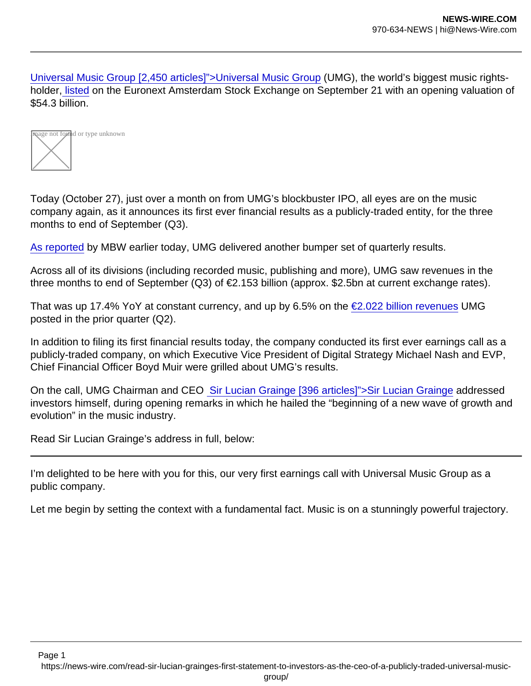[Universal Music Group \[2,450 articles\]">Universal Music Group](https://www.musicbusinessworldwide.com/companies/universal-music-group/) (UMG), the world's biggest music rightsholder, [listed](https://www.musicbusinessworldwide.com/universal-hits-massive-valuation-of-54bn-as-it-lists-on-amsterdam-stock-exchange/) on the Euronext Amsterdam Stock Exchange on September 21 with an opening valuation of \$54.3 billion.



Today (October 27), just over a month on from UMG's blockbuster IPO, all eyes are on the music company again, as it announces its first ever financial results as a publicly-traded entity, for the three months to end of September (Q3).

[As reported](https://www.musicbusinessworldwide.com/can-universal-music-group-post-a-2bn-ebitda-profit-this-year/) by MBW earlier today, UMG delivered another bumper set of quarterly results.

Across all of its divisions (including recorded music, publishing and more), UMG saw revenues in the three months to end of September (Q3) of €2.153 billion (approx. \$2.5bn at current exchange rates).

That was up 17.4% YoY at constant currency, and up by 6.5% on the  $\epsilon$ 2.022 billion revenues UMG posted in the prior quarter (Q2).

In addition to filing its first financial results today, the company conducted its first ever earnings call as a publicly-traded company, on which Executive Vice President of Digital Strategy Michael Nash and EVP, Chief Financial Officer Boyd Muir were grilled about UMG's results.

On the call, UMG Chairman and CEO [Sir Lucian Grainge \[396 articles\]">Sir Lucian Grainge](https://www.musicbusinessworldwide.com/people/sir-lucian-grainge/) addressed investors himself, during opening remarks in which he hailed the "beginning of a new wave of growth and evolution" in the music industry.

Read Sir Lucian Grainge's address in full, below:

I'm delighted to be here with you for this, our very first earnings call with Universal Music Group as a public company.

Let me begin by setting the context with a fundamental fact. Music is on a stunningly powerful trajectory.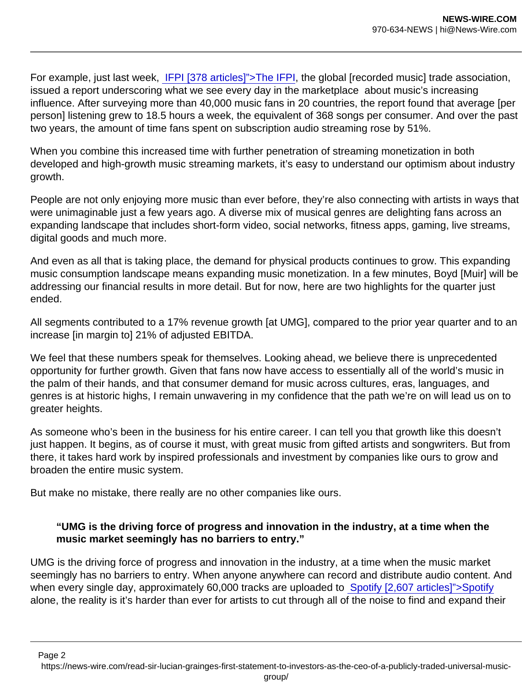For example, just last week, [IFPI \[378 articles\]">The IFPI,](https://www.musicbusinessworldwide.com/companies/ifpi/) the global [recorded music] trade association, issued a report underscoring what we see every day in the marketplace about music's increasing influence. After surveying more than 40,000 music fans in 20 countries, the report found that average [per person] listening grew to 18.5 hours a week, the equivalent of 368 songs per consumer. And over the past two years, the amount of time fans spent on subscription audio streaming rose by 51%.

When you combine this increased time with further penetration of streaming monetization in both developed and high-growth music streaming markets, it's easy to understand our optimism about industry growth.

People are not only enjoying more music than ever before, they're also connecting with artists in ways that were unimaginable just a few years ago. A diverse mix of musical genres are delighting fans across an expanding landscape that includes short-form video, social networks, fitness apps, gaming, live streams, digital goods and much more.

And even as all that is taking place, the demand for physical products continues to grow. This expanding music consumption landscape means expanding music monetization. In a few minutes, Boyd [Muir] will be addressing our financial results in more detail. But for now, here are two highlights for the quarter just ended.

All segments contributed to a 17% revenue growth [at UMG], compared to the prior year quarter and to an increase [in margin to] 21% of adjusted EBITDA.

We feel that these numbers speak for themselves. Looking ahead, we believe there is unprecedented opportunity for further growth. Given that fans now have access to essentially all of the world's music in the palm of their hands, and that consumer demand for music across cultures, eras, languages, and genres is at historic highs, I remain unwavering in my confidence that the path we're on will lead us on to greater heights.

As someone who's been in the business for his entire career. I can tell you that growth like this doesn't just happen. It begins, as of course it must, with great music from gifted artists and songwriters. But from there, it takes hard work by inspired professionals and investment by companies like ours to grow and broaden the entire music system.

But make no mistake, there really are no other companies like ours.

"UMG is the driving force of progress and innovation in the industry, at a time when the music market seemingly has no barriers to entry."

UMG is the driving force of progress and innovation in the industry, at a time when the music market seemingly has no barriers to entry. When anyone anywhere can record and distribute audio content. And when every single day, approximately 60,000 tracks are uploaded to [Spotify \[2,607 articles\]">Spotify](https://www.musicbusinessworldwide.com/companies/spotify/) alone, the reality is it's harder than ever for artists to cut through all of the noise to find and expand their

Page 2

https://news-wire.com/read-sir-lucian-grainges-first-statement-to-investors-as-the-ceo-of-a-publicly-traded-universal-music-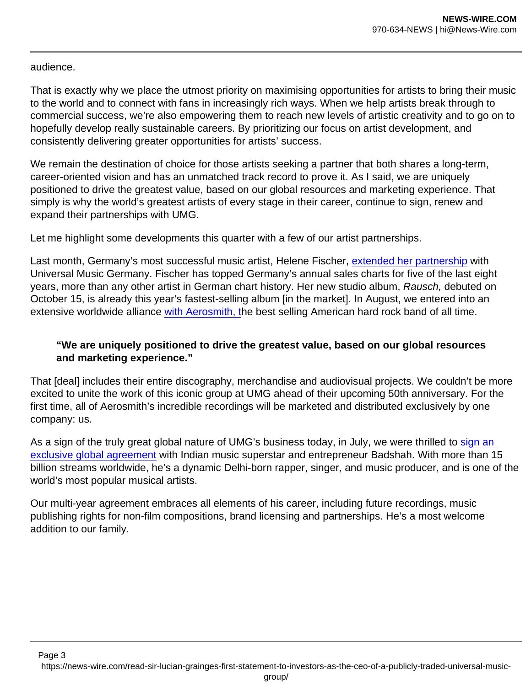audience.

That is exactly why we place the utmost priority on maximising opportunities for artists to bring their music to the world and to connect with fans in increasingly rich ways. When we help artists break through to commercial success, we're also empowering them to reach new levels of artistic creativity and to go on to hopefully develop really sustainable careers. By prioritizing our focus on artist development, and consistently delivering greater opportunities for artists' success.

We remain the destination of choice for those artists seeking a partner that both shares a long-term, career-oriented vision and has an unmatched track record to prove it. As I said, we are uniquely positioned to drive the greatest value, based on our global resources and marketing experience. That simply is why the world's greatest artists of every stage in their career, continue to sign, renew and expand their partnerships with UMG.

Let me highlight some developments this quarter with a few of our artist partnerships.

Last month, Germany's most successful music artist, Helene Fischer, [extended her partnership](https://www.musicbusinessworldwide.com/helene-fischer-extends-long-term-partnership-with-universal-music-germany/) with Universal Music Germany. Fischer has topped Germany's annual sales charts for five of the last eight years, more than any other artist in German chart history. Her new studio album, Rausch, debuted on October 15, is already this year's fastest-selling album [in the market]. In August, we entered into an extensive worldwide alliance [with Aerosmith, t](https://www.musicbusinessworldwide.com/aerosmith-inks-worldwide-alliance-to-bring-entire-catalog-to-universal-music-group/)he best selling American hard rock band of all time.

"We are uniquely positioned to drive the greatest value, based on our global resources and marketing experience."

That [deal] includes their entire discography, merchandise and audiovisual projects. We couldn't be more excited to unite the work of this iconic group at UMG ahead of their upcoming 50th anniversary. For the first time, all of Aerosmith's incredible recordings will be marketed and distributed exclusively by one company: us.

As a sign of the truly great global nature of UMG's business today, in July, we were thrilled to [sign an](https://www.musicbusinessworldwide.com/indian-rapper-badshah-inks-exclusive-global-deal-with-universal-music-group/)  [exclusive global agreement](https://www.musicbusinessworldwide.com/indian-rapper-badshah-inks-exclusive-global-deal-with-universal-music-group/) with Indian music superstar and entrepreneur Badshah. With more than 15 billion streams worldwide, he's a dynamic Delhi-born rapper, singer, and music producer, and is one of the world's most popular musical artists.

Our multi-year agreement embraces all elements of his career, including future recordings, music publishing rights for non-film compositions, brand licensing and partnerships. He's a most welcome addition to our family.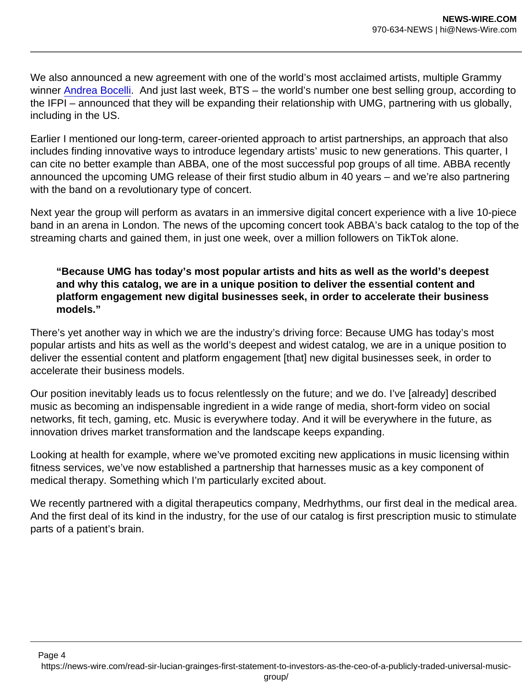We also announced a new agreement with one of the world's most acclaimed artists, multiple Grammy winner [Andrea Bocelli](https://www.musicbusinessworldwide.com/andrea-bocelli-signs-global-multi-album-deal-with-universal-music-group/). And just last week, BTS – the world's number one best selling group, according to the IFPI – announced that they will be expanding their relationship with UMG, partnering with us globally, including in the US.

Earlier I mentioned our long-term, career-oriented approach to artist partnerships, an approach that also includes finding innovative ways to introduce legendary artists' music to new generations. This quarter, I can cite no better example than ABBA, one of the most successful pop groups of all time. ABBA recently announced the upcoming UMG release of their first studio album in 40 years – and we're also partnering with the band on a revolutionary type of concert.

Next year the group will perform as avatars in an immersive digital concert experience with a live 10-piece band in an arena in London. The news of the upcoming concert took ABBA's back catalog to the top of the streaming charts and gained them, in just one week, over a million followers on TikTok alone.

"Because UMG has today's most popular artists and hits as well as the world's deepest and why this catalog, we are in a unique position to deliver the essential content and platform engagement new digital businesses seek, in order to accelerate their business models."

There's yet another way in which we are the industry's driving force: Because UMG has today's most popular artists and hits as well as the world's deepest and widest catalog, we are in a unique position to deliver the essential content and platform engagement [that] new digital businesses seek, in order to accelerate their business models.

Our position inevitably leads us to focus relentlessly on the future; and we do. I've [already] described music as becoming an indispensable ingredient in a wide range of media, short-form video on social networks, fit tech, gaming, etc. Music is everywhere today. And it will be everywhere in the future, as innovation drives market transformation and the landscape keeps expanding.

Looking at health for example, where we've promoted exciting new applications in music licensing within fitness services, we've now established a partnership that harnesses music as a key component of medical therapy. Something which I'm particularly excited about.

We recently partnered with a digital therapeutics company, Medrhythms, our first deal in the medical area. And the first deal of its kind in the industry, for the use of our catalog is first prescription music to stimulate parts of a patient's brain.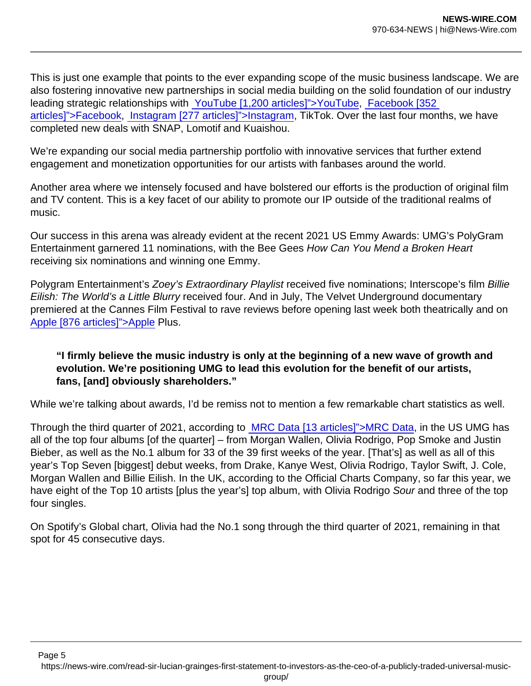This is just one example that points to the ever expanding scope of the music business landscape. We are also fostering innovative new partnerships in social media building on the solid foundation of our industry leading strategic relationships with [YouTube \[1,200 articles\]">YouTube](https://www.musicbusinessworldwide.com/companies/youtube/), [Facebook \[352](https://www.musicbusinessworldwide.com/companies/facebook/)  [articles\]">Facebook](https://www.musicbusinessworldwide.com/companies/facebook/), [Instagram \[277 articles\]">Instagram](https://www.musicbusinessworldwide.com/companies/facebook/instagram/), TikTok. Over the last four months, we have completed new deals with SNAP, Lomotif and Kuaishou.

We're expanding our social media partnership portfolio with innovative services that further extend engagement and monetization opportunities for our artists with fanbases around the world.

Another area where we intensely focused and have bolstered our efforts is the production of original film and TV content. This is a key facet of our ability to promote our IP outside of the traditional realms of music.

Our success in this arena was already evident at the recent 2021 US Emmy Awards: UMG's PolyGram Entertainment garnered 11 nominations, with the Bee Gees How Can You Mend a Broken Heart receiving six nominations and winning one Emmy.

Polygram Entertainment's Zoey's Extraordinary Playlist received five nominations; Interscope's film Billie Eilish: The World's a Little Blurry received four. And in July, The Velvet Underground documentary premiered at the Cannes Film Festival to rave reviews before opening last week both theatrically and on [Apple \[876 articles\]">Apple](https://www.musicbusinessworldwide.com/companies/apple/) Plus.

"I firmly believe the music industry is only at the beginning of a new wave of growth and evolution. We're positioning UMG to lead this evolution for the benefit of our artists, fans, [and] obviously shareholders."

While we're talking about awards, I'd be remiss not to mention a few remarkable chart statistics as well.

Through the third quarter of 2021, according to [MRC Data \[13 articles\]">MRC Data,](https://www.musicbusinessworldwide.com/companies/mrc-data/) in the US UMG has all of the top four albums [of the quarter] – from Morgan Wallen, Olivia Rodrigo, Pop Smoke and Justin Bieber, as well as the No.1 album for 33 of the 39 first weeks of the year. [That's] as well as all of this year's Top Seven [biggest] debut weeks, from Drake, Kanye West, Olivia Rodrigo, Taylor Swift, J. Cole, Morgan Wallen and Billie Eilish. In the UK, according to the Official Charts Company, so far this year, we have eight of the Top 10 artists [plus the year's] top album, with Olivia Rodrigo Sour and three of the top four singles.

On Spotify's Global chart, Olivia had the No.1 song through the third quarter of 2021, remaining in that spot for 45 consecutive days.